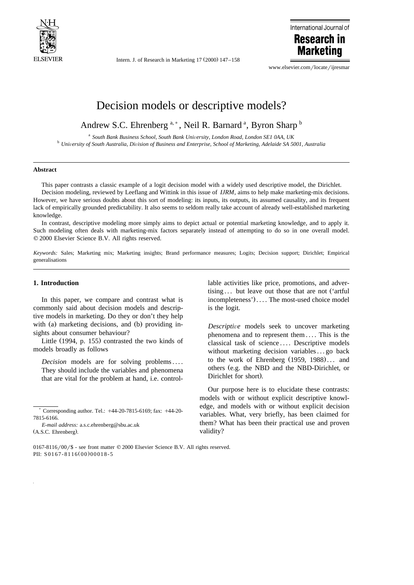

Intern. J. of Research in Marketing  $17 (2000) 147 - 158$ 



www.elsevier.com/locate/ijresmar

# Decision models or descriptive models?

Andrew S.C. Ehrenberg<sup>a,\*</sup>, Neil R. Barnard<sup>a</sup>, Byron Sharp<sup>b</sup>

<sup>a</sup> South Bank Business School, South Bank University, London Road, London SE1 0AA, UK<br><sup>b</sup> University of South Australia, Division of Business and Enterprise, School of Marketing, Adelaide SA 5001, Australia

### **Abstract**

This paper contrasts a classic example of a logit decision model with a widely used descriptive model, the Dirichlet. Decision modeling, reviewed by Leeflang and Wittink in this issue of *IJRM*, aims to help make marketing-mix decisions. However, we have serious doubts about this sort of modeling: its inputs, its outputs, its assumed causality, and its frequent lack of empirically grounded predictability. It also seems to seldom really take account of already well-established marketing knowledge.

In contrast, descriptive modeling more simply aims to depict actual or potential marketing knowledge, and to apply it. Such modeling often deals with marketing-mix factors separately instead of attempting to do so in one overall model.  $© 2000 Elsevier Science B.V. All rights reserved.$ 

*Keywords:* Sales; Marketing mix; Marketing insights; Brand performance measures; Logits; Decision support; Dirichlet; Empirical generalisations

# **1. Introduction**

In this paper, we compare and contrast what is commonly said about decision models and descriptive models in marketing. Do they or don't they help with  $(a)$  marketing decisions, and  $(b)$  providing insights about consumer behaviour?

Little  $(1994, p. 155)$  contrasted the two kinds of models broadly as follows

*Decision* models are for solving problems.... They should include the variables and phenomena that are vital for the problem at hand, i.e. control-

*E-mail address:* a.s.c.ehrenberg@sbu.ac.uk (A.S.C. Ehrenberg).

lable activities like price, promotions, and advertising  $\ldots$  but leave out those that are not ('artful  $incompleteness'$ .... The most-used choice model is the logit.

*Descriptive* models seek to uncover marketing phenomena and to represent them .... This is the classical task of science .... Descriptive models without marketing decision variables ... go back to the work of Ehrenberg  $(1959, 1988)$ ... and others (e.g. the NBD and the NBD-Dirichlet, or Dirichlet for short).

Our purpose here is to elucidate these contrasts: models with or without explicit descriptive knowledge, and models with or without explicit decision variables. What, very briefly, has been claimed for them? What has been their practical use and proven validity?

 $*$  Corresponding author. Tel.:  $+44-20-7815-6169$ ; fax:  $+44-20-$ 7815-6166.

 $0167-8116/00$  /\$ - see front matter  $\odot$  2000 Elsevier Science B.V. All rights reserved. PII:  $S0167 - 8116(00)00018 - 5$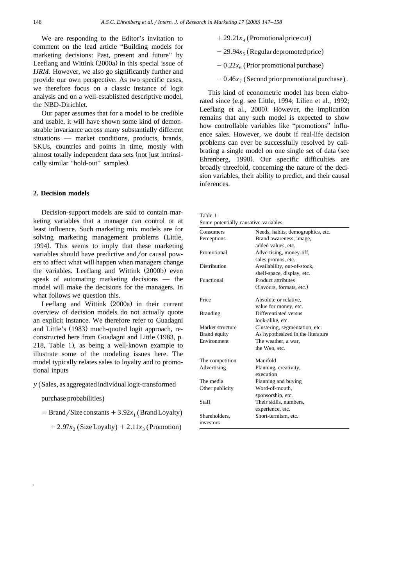We are responding to the Editor's invitation to comment on the lead article "Building models for marketing decisions: Past, present and future" by Leeflang and Wittink  $(2000a)$  in this special issue of *IJRM*. However, we also go significantly further and provide our own perspective. As two specific cases, we therefore focus on a classic instance of logit analysis and on a well-established descriptive model, the NBD-Dirichlet.

Our paper assumes that for a model to be credible and usable, it will have shown some kind of demonstrable invariance across many substantially different situations — market conditions, products, brands, SKUs, countries and points in time, mostly with almost totally independent data sets (not just intrinsically similar "hold-out" samples).

# **2. Decision models**

Decision-support models are said to contain marketing variables that a manager can control or at least influence. Such marketing mix models are for solving marketing management problems (Little, 1994). This seems to imply that these marketing variables should have predictive and/or causal powers to affect what will happen when managers change the variables. Leeflang and Wittink (2000b) even speak of automating marketing decisions — the model will make the decisions for the managers. In what follows we question this.

Leeflang and Wittink  $(2000a)$  in their current overview of decision models do not actually quote an explicit instance. We therefore refer to Guadagni and Little's (1983) much-quoted logit approach, reconstructed here from Guadagni and Little (1983, p.  $218$ , Table 1), as being a well-known example to illustrate some of the modeling issues here. The model typically relates sales to loyalty and to promotional inputs

# *y* (Sales, as aggregated individual logit-transformed

### purchase probabilities)

 $=$  Brand / Size constants  $+3.92x_1$  (Brand Loyalty)

 $+2.97x_2$  (Size Loyalty)  $+2.11x_3$  (Promotion)

- $+29.21x<sub>4</sub>$  (Promotional price cut)
- $-29.94x<sub>5</sub>$  (Regular depromoted price)
- $-0.22x<sub>6</sub>$  (Prior promotional purchase)
- $-0.46x<sub>7</sub>$  (Second prior promotional purchase).

This kind of econometric model has been elaborated since (e.g. see Little, 1994; Lilien et al., 1992; Leeflang et al., 2000). However, the implication remains that any such model is expected to show how controllable variables like "promotions" influence sales. However, we doubt if real-life decision problems can ever be successfully resolved by calibrating a single model on one single set of data (see Ehrenberg, 1990). Our specific difficulties are broadly threefold, concerning the nature of the decision variables, their ability to predict, and their causal inferences.

Table 1 Some potentially causative variables

| Consumers        | Needs, habits, demographics, etc. |  |  |  |  |
|------------------|-----------------------------------|--|--|--|--|
| Perceptions      | Brand awareness, image,           |  |  |  |  |
|                  | added values, etc.                |  |  |  |  |
| Promotional      | Advertising, money-off,           |  |  |  |  |
|                  | sales promos, etc.                |  |  |  |  |
| Distribution     | Availability, out-of-stock,       |  |  |  |  |
|                  | shelf-space, display, etc.        |  |  |  |  |
| Functional       | Product attributes                |  |  |  |  |
|                  | (flavours, formats, etc.)         |  |  |  |  |
| Price            | Absolute or relative,             |  |  |  |  |
|                  | value for money, etc.             |  |  |  |  |
| <b>Branding</b>  | Differentiated versus             |  |  |  |  |
|                  | look-alike, etc.                  |  |  |  |  |
| Market structure | Clustering, segmentation, etc.    |  |  |  |  |
| Brand equity     | As hypothesized in the literature |  |  |  |  |
| Environment      | The weather, a war,               |  |  |  |  |
|                  | the Web, etc.                     |  |  |  |  |
| The competition  | Manifold                          |  |  |  |  |
| Advertising      | Planning, creativity,             |  |  |  |  |
|                  | execution                         |  |  |  |  |
| The media        | Planning and buying               |  |  |  |  |
| Other publicity  | Word-of-mouth.                    |  |  |  |  |
|                  | sponsorship, etc.                 |  |  |  |  |
| Staff            | Their skills, numbers,            |  |  |  |  |
|                  | experience, etc.                  |  |  |  |  |
| Shareholders,    | Short-termism, etc.               |  |  |  |  |
| investors        |                                   |  |  |  |  |
|                  |                                   |  |  |  |  |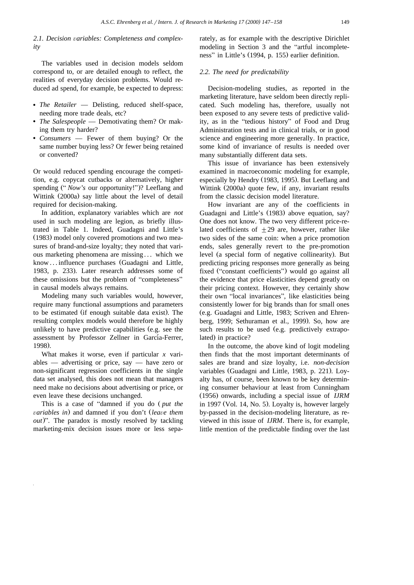# 2.1. Decision variables: Completeness and complex*ity*

The variables used in decision models seldom correspond to, or are detailed enough to reflect, the realities of everyday decision problems. Would reduced ad spend, for example, be expected to depress:

- *The Retailer* Delisting, reduced shelf-space, needing more trade deals, etc?
- *The Salespeople* Demotivating them? Or making them try harder?
- *Consumers* Fewer of them buying? Or the same number buying less? Or fewer being retained or converted?

Or would reduced spending encourage the competition, e.g. copycat cutbacks or alternatively, higher spending ("*Now's* our opportunity!")? Leeflang and Wittink (2000a) say little about the level of detail required for decision-making.

In addition, explanatory variables which are *not* used in such modeling are legion, as briefly illustrated in Table 1. Indeed, Guadagni and Little's (1983) model only covered promotions and two measures of brand-and-size loyalty; they noted that various marketing phenomena are missing . . . which we know... influence purchases (Guadagni and Little, 1983, p. 233). Later research addresses some of these omissions but the problem of "completeness" in causal models always remains.

Modeling many such variables would, however, require many functional assumptions and parameters to be estimated (if enough suitable data exist). The resulting complex models would therefore be highly unlikely to have predictive capabilities (e.g. see the assessment by Professor Zellner in García-Ferrer, 1998).

What makes it worse, even if particular *x* variables — advertising or price, say — have zero or non-significant regression coefficients in the single data set analysed, this does not mean that managers need make no decisions about advertising or price, or even leave these decisions unchanged.

This is a case of "damned if you do  $(\text{put the})$ *variables in*) and damned if you don't *(leave them*  $out$ )". The paradox is mostly resolved by tackling marketing-mix decision issues more or less separately, as for example with the descriptive Dirichlet modeling in Section 3 and the "artful incompleteness" in Little's (1994, p. 155) earlier definition.

### *2.2. The need for predictability*

Decision-modeling studies, as reported in the marketing literature, have seldom been directly replicated. Such modeling has, therefore, usually not been exposed to any severe tests of predictive validity, as in the "tedious history" of Food and Drug Administration tests and in clinical trials, or in good science and engineering more generally. In practice, some kind of invariance of results is needed over many substantially different data sets.

This issue of invariance has been extensively examined in macroeconomic modeling for example, especially by Hendry (1983, 1995). But Leeflang and Wittink (2000a) quote few, if any, invariant results from the classic decision model literature.

How invariant are any of the coefficients in Guadagni and Little's (1983) above equation, say? One does not know. The two very different price-related coefficients of  $\pm 29$  are, however, rather like two sides of the same coin: when a price promotion ends, sales generally revert to the pre-promotion level (a special form of negative collinearity). But predicting pricing responses more generally as being fixed ("constant coefficients") would go against all the evidence that price elasticities depend greatly on their pricing context. However, they certainly show their own "local invariances", like elasticities being consistently lower for big brands than for small ones (e.g. Guadagni and Little, 1983; Scriven and Ehrenberg, 1999; Sethuraman et al., 1999). So, how are such results to be used (e.g. predictively extrapolated) in practice?

In the outcome, the above kind of logit modeling then finds that the most important determinants of sales are brand and size loyalty, i.e. *non-decision* variables (Guadagni and Little, 1983, p. 221). Loyalty has, of course, been known to be key determining consumer behaviour at least from Cunningham Ž . 1956 onwards, including a special issue of *IJRM* in 1997 (Vol. 14, No. 5). Loyalty is, however largely by-passed in the decision-modeling literature, as reviewed in this issue of *IJRM*. There is, for example, little mention of the predictable finding over the last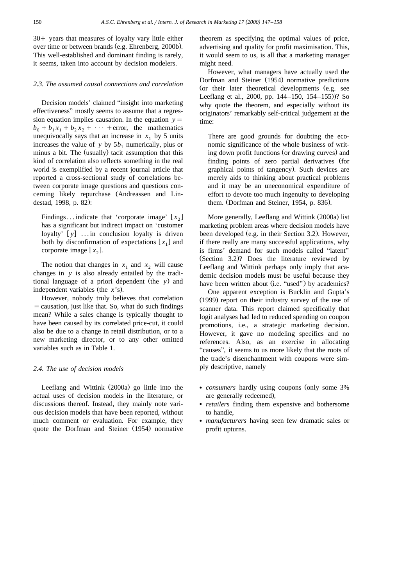$30+$  years that measures of loyalty vary little either over time or between brands (e.g. Ehrenberg, 2000b). This well-established and dominant finding is rarely, it seems, taken into account by decision modelers.

# *2.3. The assumed causal connections and correlation*

Decision models' claimed "insight into marketing" effectiveness" mostly seems to assume that a regression equation implies causation. In the equation  $y =$  $b_0 + b_1x_1 + b_2x_2 + \cdots$  + error, the mathematics unequivocally says that an increase in  $x_1$  by 5 units increases the value of  $y$  by  $5b_1$  numerically, plus or minus a bit. The (usually) tacit assumption that this kind of correlation also reflects something in the real world is exemplified by a recent journal article that reported a cross-sectional study of correlations between corporate image questions and questions concerning likely repurchase (Andreassen and Lindestad, 1998, p. 82):

Findings ... indicate that 'corporate image'  $[x_2]$ has a significant but indirect impact on 'customer loyalty'  $[y]$  ... in conclusion loyalty is driven both by disconfirmation of expectations  $[x_1]$  and corporate image  $[x_2]$ .

The notion that changes in  $x_1$  and  $x_2$  will cause changes in *y* is also already entailed by the traditional language of a priori dependent (the y) and independent variables (the  $x$ 's).

However, nobody truly believes that correlation  $s =$  causation, just like that. So, what do such findings mean? While a sales change is typically thought to have been caused by its correlated price-cut, it could also be due to a change in retail distribution, or to a new marketing director, or to any other omitted variables such as in Table 1.

# *2.4. The use of decision models*

Leeflang and Wittink  $(2000a)$  go little into the actual uses of decision models in the literature, or discussions thereof. Instead, they mainly note various decision models that have been reported, without much comment or evaluation. For example, they quote the Dorfman and Steiner (1954) normative theorem as specifying the optimal values of price, advertising and quality for profit maximisation. This, it would seem to us, is all that a marketing manager might need.

However, what managers have actually used the Dorfman and Steiner (1954) normative predictions (or their later theoretical developments (e.g. see Leeflang et al., 2000, pp.  $144-150$ ,  $154-155$ )? So why quote the theorem, and especially without its originators' remarkably self-critical judgement at the time:

There are good grounds for doubting the economic significance of the whole business of writing down profit functions (or drawing curves) and finding points of zero partial derivatives (for graphical points of tangency). Such devices are merely aids to thinking about practical problems and it may be an uneconomical expenditure of effort to devote too much ingenuity to developing them. (Dorfman and Steiner, 1954, p. 836).

More generally, Leeflang and Wittink (2000a) list marketing problem areas where decision models have been developed (e.g. in their Section 3.2). However, if there really are many successful applications, why is firms' demand for such models called "latent"  $(Section 3.2)$ ? Does the literature reviewed by Leeflang and Wittink perhaps only imply that academic decision models must be useful because they have been written about (i.e. "used") by academics?

One apparent exception is Bucklin and Gupta's  $(1999)$  report on their industry survey of the use of scanner data. This report claimed specifically that logit analyses had led to reduced spending on coupon promotions, i.e., a strategic marketing decision. However, it gave no modeling specifics and no references. Also, as an exercise in allocating "causes", it seems to us more likely that the roots of the trade's disenchantment with coupons were simply descriptive, namely

- *consumers* hardly using coupons (only some 3%) are generally redeemed),
- *retailers* finding them expensive and bothersome to handle,
- *manufacturers* having seen few dramatic sales or profit upturns.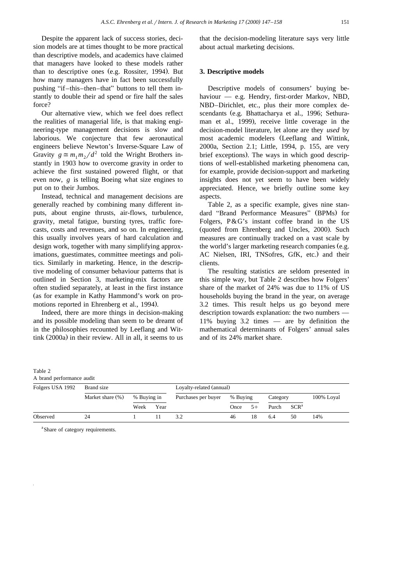Despite the apparent lack of success stories, decision models are at times thought to be more practical than descriptive models, and academics have claimed that managers have looked to these models rather than to descriptive ones (e.g. Rossiter, 1994). But how many managers have in fact been successfully pushing "if–this–then–that" buttons to tell them instantly to double their ad spend or fire half the sales force?

Our alternative view, which we feel does reflect the realities of managerial life, is that making engineering-type management decisions is slow and laborious. We conjecture that few aeronautical engineers believe Newton's Inverse-Square Law of Gravity  $g \approx m_1 m_2 / d^2$  told the Wright Brothers instantly in 1903 how to overcome gravity in order to achieve the first sustained powered flight, or that even now, *g* is telling Boeing what size engines to put on to their Jumbos.

Instead, technical and management decisions are generally reached by combining many different inputs, about engine thrusts, air-flows, turbulence, gravity, metal fatigue, bursting tyres, traffic forecasts, costs and revenues, and so on. In engineering, this usually involves years of hard calculation and design work, together with many simplifying approximations, guestimates, committee meetings and politics. Similarly in marketing. Hence, in the descriptive modeling of consumer behaviour patterns that is outlined in Section 3, marketing-mix factors are often studied separately, at least in the first instance (as for example in Kathy Hammond's work on promotions reported in Ehrenberg et al., 1994).

Indeed, there are more things in decision-making and its possible modeling than seem to be dreamt of in the philosophies recounted by Leeflang and Wittink  $(2000a)$  in their review. All in all, it seems to us

that the decision-modeling literature says very little about actual marketing decisions.

# **3. Descriptive models**

Descriptive models of consumers' buying behaviour — e.g. Hendry, first-order Markov, NBD, NBD–Dirichlet, etc., plus their more complex descendants (e.g. Bhattacharya et al., 1996; Sethuraman et al., 1999), receive little coverage in the decision-model literature, let alone are they *used* by most academic modelers (Leeflang and Wittink, 2000a, Section 2.1; Little, 1994, p. 155, are very brief exceptions). The ways in which good descriptions of well-established marketing phenomena can, for example, provide decision-support and marketing insights does not yet seem to have been widely appreciated. Hence, we briefly outline some key aspects.

Table 2, as a specific example, gives nine standard "Brand Performance Measures" (BPMs) for Folgers, P&G's instant coffee brand in the US (quoted from Ehrenberg and Uncles, 2000). Such measures are continually tracked on a vast scale by the world's larger marketing research companies (e.g. AC Nielsen, IRI, TNSofres, GfK, etc.) and their clients.

The resulting statistics are seldom presented in this simple way, but Table 2 describes how Folgers' share of the market of 24% was due to 11% of US households buying the brand in the year, on average 3.2 times. This result helps us go beyond mere description towards explanation: the two numbers — 11% buying 3.2 times — are by definition the mathematical determinants of Folgers' annual sales and of its 24% market share.

| Table 2 |                           |  |
|---------|---------------------------|--|
|         | A brand performance audit |  |

| Folgers USA 1992 | Brand size       |             |      | Loyalty-related (annual) |          |      |          |                  |            |
|------------------|------------------|-------------|------|--------------------------|----------|------|----------|------------------|------------|
|                  | Market share (%) | % Buying in |      | Purchases per buyer      | % Buying |      | Category |                  | 100% Loyal |
|                  |                  | Week        | Year |                          | Once     | $5+$ | Purch    | SCR <sup>a</sup> |            |
| Observed         | 24               |             |      | 3.2                      | 46       | 18   | 6.4      | 50               | 14%        |

<sup>a</sup> Share of category requirements.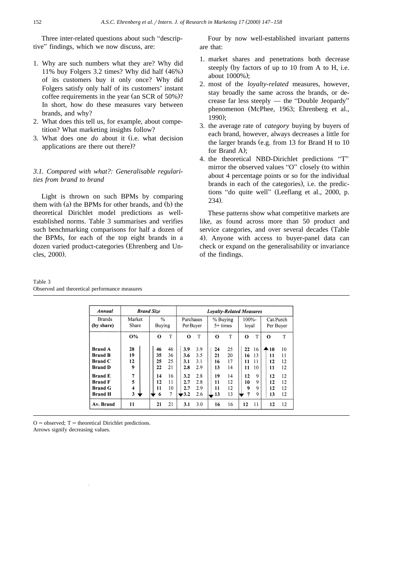Three inter-related questions about such "descriptive" findings, which we now discuss, are:

- 1. Why are such numbers what they are? Why did 11% buy Folgers 3.2 times? Why did half  $(46%)$ of its customers buy it only once? Why did Folgers satisfy only half of its customers' instant coffee requirements in the year (an SCR of  $50\%$ )? In short, how do these measures vary between brands, and why?
- 2. What does this tell us, for example, about competition? What marketing insights follow?
- 3. What does one *do* about it (i.e. what decision applications are there out there)?

# *3.1. Compared with what?: Generalisable regularities from brand to brand*

Light is thrown on such BPMs by comparing them with  $(a)$  the BPMs for other brands, and  $(b)$  the theoretical Dirichlet model predictions as wellestablished norms. Table 3 summarises and verifies such benchmarking comparisons for half a dozen of the BPMs, for each of the top eight brands in a dozen varied product-categories (Ehrenberg and Uncles, 2000).

Four by now well-established invariant patterns are that:

- 1. market shares and penetrations both decrease steeply (by factors of up to  $10$  from A to H, i.e. about 1000%);
- 2. most of the *loyalty-related* measures, however, stay broadly the same across the brands, or decrease far less steeply  $-$  the "Double Jeopardy" phenomenon (McPhee, 1963; Ehrenberg et al.,  $1990$ :
- 3. the average rate of *category* buying by buyers of each brand, however, always decreases a little for the larger brands (e.g. from  $13$  for Brand H to  $10$ for Brand A);
- 4. the theoretical NBD-Dirichlet predictions "T" mirror the observed values "O" closely (to within about 4 percentage points or so for the individual brands in each of the categories), i.e. the predictions "do quite well" (Leeflang et al., 2000, p.  $234.$

These patterns show what competitive markets are like, as found across more than 50 product and service categories, and over several decades (Table 4). Anyone with access to buyer-panel data can check or expand on the generalisability or invariance of the findings.

Table 3 Observed and theoretical performance measures

| Annual                                                               | <b>Brand Size</b>             |                                              | <b>Loyalty-Related Measures</b>                         |                                              |                                              |                                                |  |  |
|----------------------------------------------------------------------|-------------------------------|----------------------------------------------|---------------------------------------------------------|----------------------------------------------|----------------------------------------------|------------------------------------------------|--|--|
| <b>Brands</b><br>(by share)                                          | Market<br>Share               | $\frac{0}{0}$<br>Buying                      | Purchases<br>Per Buyer                                  | % Buying<br>$5+$ times                       | 100%-<br>loval                               | Cat.Purch<br>Per Buyer                         |  |  |
|                                                                      | <b>O%</b>                     | T<br>$\Omega$                                | T<br>O                                                  | T<br>O                                       | T<br>O                                       | T<br>$\Omega$                                  |  |  |
| <b>Brand A</b><br><b>Brand B</b><br><b>Brand C</b><br><b>Brand D</b> | 28<br>19<br>12<br>9           | 46<br>46<br>35<br>36<br>25<br>25<br>21<br>22 | 3.9<br>3.9<br>3.5<br>3.6<br>3.1<br>3.1<br>2.8<br>2.9    | 25<br>24<br>20<br>21<br>17<br>16<br>14<br>13 | 22<br>16<br>13<br>16<br>11<br>11<br>11<br>10 | 10<br>♠ 10<br>11<br>11<br>12<br>12<br>12<br>11 |  |  |
| <b>Brand E</b><br><b>Brand F</b><br><b>Brand G</b><br><b>Brand H</b> | $\overline{7}$<br>5<br>4<br>3 | 16<br>14<br>12<br>11<br>10<br>11<br>7<br>6   | 2.8<br>3.2<br>2.8<br>2.7<br>2.9<br>2.7<br>2.6<br>$-3.2$ | 14<br>19<br>12<br>11<br>12<br>11<br>13<br>13 | 9<br>12<br>9<br>10<br>9<br>9<br>7<br>9       | 12<br>12<br>12<br>12<br>12<br>12<br>12<br>13   |  |  |
| Av. Brand                                                            | 11                            | 21<br>21                                     | 3.0<br>3.1                                              | 16<br>16                                     | 11<br>12                                     | 12<br>12                                       |  |  |

 $O =$  observed;  $T =$  theoretical Dirichlet predictions.

Arrows signify decreasing values.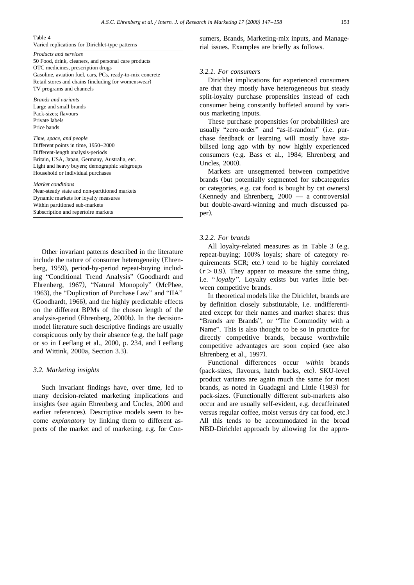#### Table 4

Varied replications for Dirichlet-type patterns

#### *Products and services*

50 Food, drink, cleaners, and personal care products OTC medicines, prescription drugs Gasoline, aviation fuel, cars, PCs, ready-to-mix concrete Retail stores and chains (including for womenswear) TV programs and channels

*Brands and* Õ*ariants* Large and small brands Pack-sizes; flavours Private labels Price bands

*Time, space, and people* Different points in time, 1950–2000 Different-length analysis-periods Britain, USA, Japan, Germany, Australia, etc. Light and heavy buyers; demographic subgroups Household or individual purchases

#### *Market conditions*

Near-steady state and non-partitioned markets Dynamic markets for loyalty measures Within partitioned sub-markets Subscription and repertoire markets

Other invariant patterns described in the literature include the nature of consumer heterogeneity (Ehrenberg, 1959), period-by-period repeat-buying including "Conditional Trend Analysis" (Goodhardt and Ehrenberg, 1967), "Natural Monopoly" (McPhee, 1963), the "Duplication of Purchase Law" and "IIA" (Goodhardt, 1966), and the highly predictable effects on the different BPMs of the chosen length of the analysis-period (Ehrenberg, 2000b). In the decisionmodel literature such descriptive findings are usually conspicuous only by their absence (e.g. the half page or so in Leeflang et al., 2000, p. 234, and Leeflang and Wittink, 2000a, Section 3.3).

### *3.2. Marketing insights*

Such invariant findings have, over time, led to many decision-related marketing implications and insights (see again Ehrenberg and Uncles, 2000 and earlier references). Descriptive models seem to become *explanatory* by linking them to different aspects of the market and of marketing, e.g. for Consumers, Brands, Marketing-mix inputs, and Managerial issues. Examples are briefly as follows.

### *3.2.1. For consumers*

Dirichlet implications for experienced consumers are that they mostly have heterogeneous but steady split-loyalty purchase propensities instead of each consumer being constantly buffeted around by various marketing inputs.

These purchase propensities (or probabilities) are usually "zero-order" and "as-if-random" (i.e. purchase feedback or learning will mostly have stabilised long ago with by now highly experienced consumers (e.g. Bass et al., 1984; Ehrenberg and Uncles, 2000).

Markets are unsegmented between competitive brands (but potentially segmented for subcategories or categories, e.g. cat food is bought by cat owners. (Kennedy and Ehrenberg,  $2000 - a$  controversial but double-award-winning and much discussed paper).

### *3.2.2. For brands*

All loyalty-related measures as in Table 3 (e.g. repeat-buying; 100% loyals; share of category requirements SCR; etc.) tend to be highly correlated  $(r > 0.9)$ . They appear to measure the same thing, i.e. "*loyalty*". Loyalty exists but varies little between competitive brands.

In theoretical models like the Dirichlet, brands are by definition closely substitutable, i.e. undifferentiated except for their names and market shares: thus "Brands are Brands", or "The Commodity with a Name". This is also thought to be so in practice for directly competitive brands, because worthwhile competitive advantages are soon copied (see also Ehrenberg et al., 1997).

Functional differences occur *within* brands (pack-sizes, flavours, hatch backs, etc). SKU-level product variants are again much the same for most brands, as noted in Guadagni and Little (1983) for pack-sizes. (Functionally different sub-markets also occur and are usually self-evident, e.g. decaffeinated versus regular coffee, moist versus dry cat food, etc.. All this tends to be accommodated in the broad NBD-Dirichlet approach by allowing for the appro-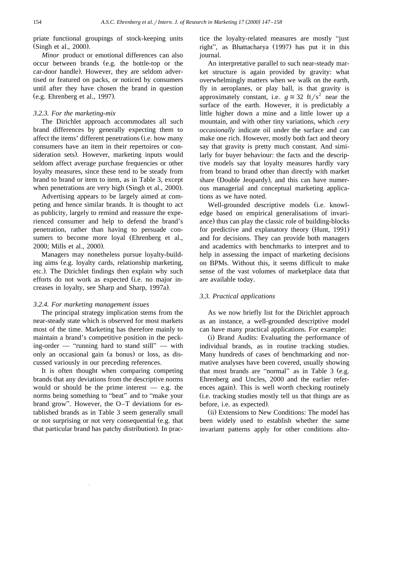priate functional groupings of stock-keeping units (Singh et al., 2000).

*Minor* product or emotional differences can also occur between brands (e.g. the bottle-top or the car-door handle). However, they are seldom advertised or featured on packs, or noticed by consumers until after they have chosen the brand in question  $(e.g. Ehrenberg et al., 1997).$ 

# *3.2.3. For the marketing-mix*

The Dirichlet approach accommodates all such brand differences by generally expecting them to affect the items' different penetrations (i.e. how many consumers have an item in their repertoires or consideration sets). However, marketing inputs would seldom affect average purchase frequencies or other loyalty measures, since these tend to be steady from brand to brand or item to item, as in Table 3, except when penetrations are very high (Singh et al., 2000).

Advertising appears to be largely aimed at competing and hence similar brands. It is thought to act as publicity, largely to remind and reassure the experienced consumer and help to defend the brand's penetration, rather than having to persuade consumers to become more loyal (Ehrenberg et al., 2000; Mills et al., 2000).

Managers may nonetheless pursue loyalty-building aims (e.g. loyalty cards, relationship marketing, etc.). The Dirichlet findings then explain why such efforts do not work as expected (i.e. no major increases in loyalty, see Sharp and Sharp, 1997a).

### *3.2.4. For marketing management issues*

The principal strategy implication stems from the near-steady state which is observed for most markets most of the time. Marketing has therefore mainly to maintain a brand's competitive position in the pecking-order — "running hard to stand still" — with only an occasional gain (a bonus) or loss, as discussed variously in our preceding references.

It is often thought when comparing competing brands that any deviations from the descriptive norms would or should be the prime interest  $-$  e.g. the norms being something to "beat" and to "make your brand grow". However, the  $O-T$  deviations for established brands as in Table 3 seem generally small or not surprising or not very consequential (e.g. that that particular brand has patchy distribution. In prac-

tice the loyalty-related measures are mostly "just right", as Bhattacharya (1997) has put it in this journal.

An interpretative parallel to such near-steady market structure is again provided by gravity: what overwhelmingly matters when we walk on the earth, fly in aeroplanes, or play ball, is that gravity is approximately constant, i.e.  $g \approx 32$  ft/s<sup>2</sup> near the surface of the earth. However, it is predictably a little higher down a mine and a little lower up a mountain, and with other tiny variations, which very *occasionally* indicate oil under the surface and can make one rich. However, mostly both fact and theory say that gravity is pretty much constant. And similarly for buyer behaviour: the facts and the descriptive models say that loyalty measures hardly vary from brand to brand other than directly with market share (Double Jeopardy), and this can have numerous managerial and conceptual marketing applications as we have noted.

Well-grounded descriptive models (i.e. knowledge based on empirical generalisations of invariance) thus can play the classic role of building-blocks for predictive and explanatory theory (Hunt, 1991) and for decisions. They can provide both managers and academics with benchmarks to interpret and to help in assessing the impact of marketing decisions on BPMs. Without this, it seems difficult to make sense of the vast volumes of marketplace data that are available today.

## *3.3. Practical applications*

As we now briefly list for the Dirichlet approach as an instance, a well-grounded descriptive model can have many practical applications. For example:

(i) Brand Audits: Evaluating the performance of individual brands, as in routine tracking studies. Many hundreds of cases of benchmarking and normative analyses have been covered, usually showing that most brands are "normal" as in Table  $3$  (e.g. Ehrenberg and Uncles, 2000 and the earlier references again). This is well worth checking routinely Ži.e. tracking studies mostly tell us that things are as before, i.e. as expected).

(ii) Extensions to New Conditions: The model has been widely used to establish whether the same invariant patterns apply for other conditions alto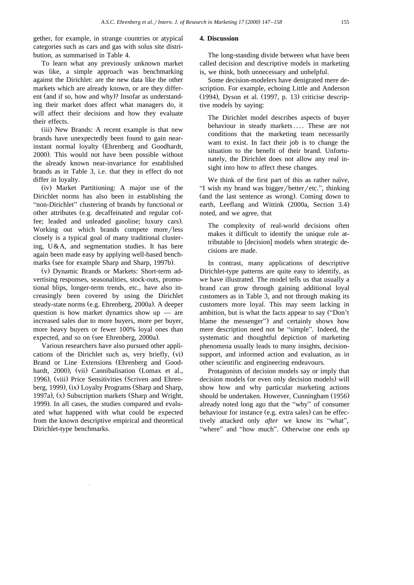gether, for example, in strange countries or atypical categories such as cars and gas with solus site distribution, as summarised in Table 4.

To learn what any previously unknown market was like, a simple approach was benchmarking against the Dirichlet: are the new data like the other markets which are already known, or are they different (and if so, how and why)? Insofar as understanding their market does affect what managers do, it will affect their decisions and how they evaluate their effects.

(iii) New Brands: A recent example is that new brands have unexpectedly been found to gain nearinstant normal loyalty (Ehrenberg and Goodhardt, 2000). This would not have been possible without the already known near-invariance for established brands as in Table 3, i.e. that they in effect do not differ in loyalty.

(iv) Market Partitioning: A major use of the Dirichlet norms has also been in establishing the "non-Dirichlet" clustering of brands by functional or other attributes (e.g. decaffeinated and regular coffee; leaded and unleaded gasoline; luxury cars). Working out which brands compete more/less closely is a typical goal of many traditional clustering, U&A, and segmentation studies. It has here again been made easy by applying well-based benchmarks (see for example Sharp and Sharp, 1997b).

(v) Dynamic Brands or Markets: Short-term advertising responses, seasonalities, stock-outs, promotional blips, longer-term trends, etc., have also increasingly been covered by using the Dirichlet steady-state norms (e.g. Ehrenberg, 2000a). A deeper question is how market dynamics show  $up$  — are increased sales due to more buyers, more per buyer, more heavy buyers or fewer 100% loyal ones than expected, and so on (see Ehrenberg, 2000a).

Various researchers have also pursued other applications of the Dirichlet such as, very briefly, (vi) Brand or Line Extensions (Ehrenberg and Goodhardt, 2000), (vii) Cannibalisation (Lomax et al., 1996), (viii) Price Sensitivities (Scriven and Ehrenberg, 1999), (ix) Loyalty Programs (Sharp and Sharp, 1997a),  $(x)$  Subscription markets (Sharp and Wright, 1999). In all cases, the studies compared and evaluated what happened with what could be expected from the known descriptive empirical and theoretical Dirichlet-type benchmarks.

# **4. Discussion**

The long-standing divide between what have been called decision and descriptive models in marketing is, we think, both unnecessary and unhelpful.

Some decision-modelers have denigrated mere description. For example, echoing Little and Anderson (1994), Dyson et al. (1997, p. 13) criticise descriptive models by saying:

The Dirichlet model describes aspects of buyer behaviour in steady markets .... These are not conditions that the marketing team necessarily want to exist. In fact their job is to change the situation to the benefit of their brand. Unfortunately, the Dirichlet does not allow any real insight into how to affect these changes.

We think of the first part of this as rather naïve, "I wish my brand was bigger/better/etc.", thinking (and the last sentence as wrong). Coming down to earth, Leeflang and Wittink (2000a, Section 3.4) noted, and we agree, that

The complexity of real-world decisions often makes it difficult to identify the unique role attributable to [decision] models when strategic decisions are made.

In contrast, many applications of descriptive Dirichlet-type patterns are quite easy to identify, as we have illustrated. The model tells us that usually a brand can grow through gaining additional loyal customers as in Table 3, and not through making its customers more loyal. This may seem lacking in ambition, but is what the facts appear to say ("Don't blame the messenger") and certainly shows how mere description need not be "simple". Indeed, the systematic and thoughtful depiction of marketing phenomena usually leads to many insights, decisionsupport, and informed action and evaluation, as in other scientific and engineering endeavours.

Protagonists of decision models say or imply that decision models (or even only decision models) will show how and why particular marketing actions should be undertaken. However, Cunningham (1956) already noted long ago that the "why" of consumer behaviour for instance (e.g. extra sales) can be effectively attacked only *after* we know its "what", "where" and "how much". Otherwise one ends up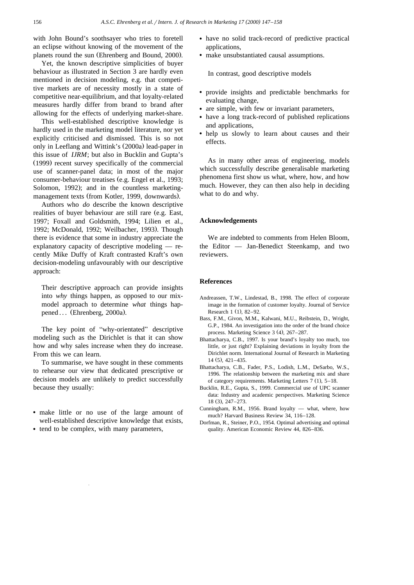with John Bound's soothsayer who tries to foretell an eclipse without knowing of the movement of the planets round the sun (Ehrenberg and Bound, 2000).

Yet, the known descriptive simplicities of buyer behaviour as illustrated in Section 3 are hardly even mentioned in decision modeling, e.g. that competitive markets are of necessity mostly in a state of competitive near-equilibrium, and that loyalty-related measures hardly differ from brand to brand after allowing for the effects of underlying market-share.

This well-established descriptive knowledge is hardly used in the marketing model literature, nor yet explicitly criticised and dismissed. This is so not only in Leeflang and Wittink's (2000a) lead-paper in this issue of *IJRM*; but also in Bucklin and Gupta's  $(1999)$  recent survey specifically of the commercial use of scanner-panel data; in most of the major consumer-behaviour treatises (e.g. Engel et al., 1993; Solomon, 1992); and in the countless marketingmanagement texts (from Kotler, 1999, downwards).

Authors who *do* describe the known descriptive realities of buyer behaviour are still rare (e.g. East, 1997; Foxall and Goldsmith, 1994; Lilien et al., 1992; McDonald, 1992; Weilbacher, 1993). Though there is evidence that some in industry appreciate the explanatory capacity of descriptive modeling — recently Mike Duffy of Kraft contrasted Kraft's own decision-modeling unfavourably with our descriptive approach:

Their descriptive approach can provide insights into *why* things happen, as opposed to our mixmodel approach to determine *what* things happened  $\ldots$  (Ehrenberg, 2000a).

The key point of "why-orientated" descriptive modeling such as the Dirichlet is that it can show how and why sales increase when they do increase. From this we can learn.

To summarise, we have sought in these comments to rehearse our view that dedicated prescriptive or decision models are unlikely to predict successfully because they usually:

- <sup>v</sup> make little or no use of the large amount of well-established descriptive knowledge that exists,
- tend to be complex, with many parameters,
- have no solid track-record of predictive practical applications,
- make unsubstantiated causal assumptions.

In contrast, good descriptive models

- <sup>v</sup> provide insights and predictable benchmarks for evaluating change,
- are simple, with few or invariant parameters,
- have a long track-record of published replications and applications,
- help us slowly to learn about causes and their effects.

As in many other areas of engineering, models which successfully describe generalisable marketing phenomena first show us what, where, how, and how much. However, they can then also help in deciding what to do and why.

# **Acknowledgements**

We are indebted to comments from Helen Bloom, the Editor — Jan-Benedict Steenkamp, and two reviewers.

# **References**

- Andreassen, T.W., Lindestad, B., 1998. The effect of corporate image in the formation of customer loyalty. Journal of Service Research  $1(1)$ , 82-92.
- Bass, F.M., Givon, M.M., Kalwani, M.U., Reibstein, D., Wright, G.P., 1984. An investigation into the order of the brand choice process. Marketing Science  $3(4)$ ,  $267-287$ .
- Bhattacharya, C.B., 1997. Is your brand's loyalty too much, too little, or just right? Explaining deviations in loyalty from the Dirichlet norm. International Journal of Research in Marketing  $14$  (5),  $421 - 435$ .
- Bhattacharya, C.B., Fader, P.S., Lodish, L.M., DeSarbo, W.S., 1996. The relationship between the marketing mix and share of category requirements. Marketing Letters  $7$  (1),  $5-18$ .
- Bucklin, R.E., Gupta, S., 1999. Commercial use of UPC scanner data: Industry and academic perspectives. Marketing Science  $18$  (3),  $247 - 273$ .
- Cunningham, R.M., 1956. Brand loyalty what, where, how much? Harvard Business Review 34, 116–128.
- Dorfman, R., Steiner, P.O., 1954. Optimal advertising and optimal quality. American Economic Review 44, 826–836.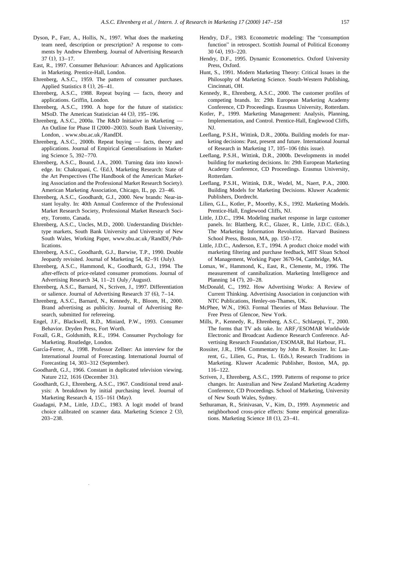- Dyson, P., Farr, A., Hollis, N., 1997. What does the marketing team need, description or prescription? A response to comments by Andrew Ehrenberg. Journal of Advertising Research  $37(1), 13-17.$
- East, R., 1997. Consumer Behaviour: Advances and Applications in Marketing. Prentice-Hall, London.
- Ehrenberg, A.S.C., 1959. The pattern of consumer purchases. Applied Statistics  $8(1)$ ,  $26-41$ .
- Ehrenberg, A.S.C., 1988. Repeat buying facts, theory and applications. Griffin, London.
- Ehrenberg, A.S.C., 1990. A hope for the future of statistics: MSoD. The American Statistician  $44$   $(3)$ ,  $195-196$ .
- Ehrenberg, A.S.C., 2000a. The R&D Initiative in Marketing An Outline for Phase II (2000–2003). South Bank University, London, . www.sbu.ac.uk/RandDI.
- Ehrenberg, A.S.C., 2000b. Repeat buying facts, theory and applications. Journal of Empirical Generalisations in Marketing Science 5, 392–770.
- Ehrenberg, A.S.C., Bound, J.A., 2000. Turning data into knowledge. In: Chakrapani, C. (Ed.), Marketing Research: State of the Art Perspectives (The Handbook of the American Marketing Association and the Professional Market Research Society). American Marketing Association, Chicago, IL, pp. 23–46.
- Ehrenberg, A.S.C., Goodhardt, G.J., 2000. New brands: Near-instant loyalty. In: 40th Annual Conference of the Professional Market Research Society, Professional Market Research Society, Toronto, Canada.
- Ehrenberg, A.S.C., Uncles, M.D., 2000. Understanding Dirichlettype markets, South Bank University and University of New South Wales, Working Paper, www.sbu.ac.uk/RandDI/Publications.
- Ehrenberg, A.S.C., Goodhardt, G.J., Barwise, T.P., 1990. Double Jeopardy revisited. Journal of Marketing 54, 82-91 (July).
- Ehrenberg, A.S.C., Hammond, K., Goodhardt, G.J., 1994. The after-effects of price-related consumer promotions. Journal of Advertising Research 34,  $11-21$  (July/August).
- Ehrenberg, A.S.C., Barnard, N., Scriven, J., 1997. Differentiation or salience. Journal of Advertising Research  $37$  (6),  $7-14$ .
- Ehrenberg, A.S.C., Barnard, N., Kennedy, R., Bloom, H., 2000. Brand advertising as publicity. Journal of Advertising Research, submitted for refereeing.
- Engel, J.F., Blackwell, R.D., Miniard, P.W., 1993. Consumer Behavior. Dryden Press, Fort Worth.
- Foxall, G.R., Goldsmith, R.E., 1994. Consumer Psychology for Marketing. Routledge, London.
- García-Ferrer, A., 1998. Professor Zellner: An interview for the International Journal of Forecasting. International Journal of Forecasting 14, 303-312 (September).
- Goodhardt, G.J., 1966. Constant in duplicated television viewing. Nature 212, 1616 (December 31).
- Goodhardt, G.J., Ehrenberg, A.S.C., 1967. Conditional trend analysis: A breakdown by initial purchasing level. Journal of Marketing Research 4, 155-161 (May).
- Guadagni, P.M., Little, J.D.C., 1983. A logit model of brand choice calibrated on scanner data. Marketing Science 2 (3), 203–238.
- Hendry, D.F., 1983. Econometric modeling: The "consumption" function" in retrospect. Scottish Journal of Political Economy  $30(4)$ ,  $193-220$ .
- Hendry, D.F., 1995. Dynamic Econometrics. Oxford University Press, Oxford.
- Hunt, S., 1991. Modern Marketing Theory: Critical Issues in the Philosophy of Marketing Science. South-Western Publishing, Cincinnati, OH.
- Kennedy, R., Ehrenberg, A.S.C., 2000. The customer profiles of competing brands. In: 29th European Marketing Academy Conference, CD Proceedings. Erasmus University, Rotterdam.
- Kotler, P., 1999. Marketing Management: Analysis, Planning, Implementation, and Control. Prentice-Hall, Englewood Cliffs, NJ.
- Leeflang, P.S.H., Wittink, D.R., 2000a. Building models for marketing decisions: Past, present and future. International Journal of Research in Marketing  $17$ ,  $105-106$  (this issue).
- Leeflang, P.S.H., Wittink, D.R., 2000b. Developments in model building for marketing decisions. In: 29th European Marketing Academy Conference, CD Proceedings. Erasmus University, Rotterdam.
- Leeflang, P.S.H., Wittink, D.R., Wedel, M., Naert, P.A., 2000. Building Models for Marketing Decisions. Kluwer Academic Publishers, Dordrecht.
- Lilien, G.L., Kotler, P., Moorthy, K.S., 1992. Marketing Models. Prentice-Hall, Englewood Cliffs, NJ.
- Little, J.D.C., 1994. Modeling market response in large customer panels. In: Blattberg, R.C., Glazer, R., Little, J.D.C. (Eds.), The Marketing Information Revolution. Harvard Business School Press, Boston, MA, pp. 150–172.
- Little, J.D.C., Anderson, E.T., 1994. A product choice model with marketing filtering and purchase feedback, MIT Sloan School of Management, Working Paper 3670-94, Cambridge, MA.
- Lomax, W., Hammond, K., East, R., Clemente, M., 1996. The measurement of cannibalization. Marketing Intelligence and Planning 14 (7), 20-28.
- McDonald, C., 1992. How Advertising Works: A Review of Current Thinking. Advertising Association in conjunction with NTC Publications, Henley-on-Thames, UK.
- McPhee, W.N., 1963. Formal Theories of Mass Behaviour. The Free Press of Glencoe, New York.
- Mills, P., Kennedy, R., Ehrenberg, A.S.C., Schlaeppi, T., 2000. The forms that TV ads take. In: ARF/ESOMAR Worldwide Electronic and Broadcast Audience Research Conference. Advertising Research Foundation/ESOMAR, Bal Harbour, FL.
- Rossiter, J.R., 1994. Commentary by John R. Rossiter. In: Laurent, G., Lilien, G., Pras, L. (Eds.), Research Traditions in Marketing. Kluwer Academic Publisher, Boston, MA, pp. 116–122.
- Scriven, J., Ehrenberg, A.S.C., 1999. Patterns of response to price changes. In: Australian and New Zealand Marketing Academy Conference, CD Proceedings. School of Marketing, University of New South Wales, Sydney.
- Sethuraman, R., Srinivasan, V., Kim, D., 1999. Asymmetric and neighborhood cross-price effects: Some empirical generalizations. Marketing Science 18  $(1)$ , 23-41.